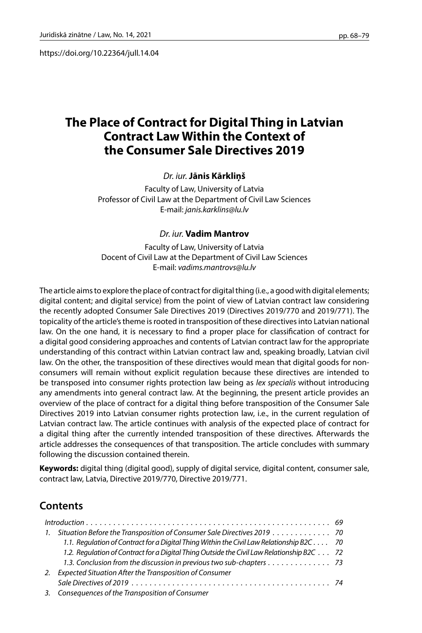https://doi.org/10.22364/jull.14.04

# **The Place of Contract for Digital Thing in Latvian Contract Law Within the Context of the Consumer Sale Directives 2019**

### *Dr. iur.* **Jānis Kārkliņš**

Faculty of Law, University of Latvia Professor of Civil Law at the Department of Civil Law Sciences E-mail: *[janis.karklins@lu.lv](mailto:janis.karklins@lu.lv)*

#### *Dr. iur.* **Vadim Mantrov**

Faculty of Law, University of Latvia Docent of Civil Law at the Department of Civil Law Sciences E-mail: *vadims.mantrovs@lu.lv*

The article aims to explore the place of contract for digital thing (i.e., a good with digital elements; digital content; and digital service) from the point of view of Latvian contract law considering the recently adopted Consumer Sale Directives 2019 (Directives 2019/770 and 2019/771). The topicality of the article's theme is rooted in transposition of these directives into Latvian national law. On the one hand, it is necessary to find a proper place for classification of contract for a digital good considering approaches and contents of Latvian contract law for the appropriate understanding of this contract within Latvian contract law and, speaking broadly, Latvian civil law. On the other, the transposition of these directives would mean that digital goods for nonconsumers will remain without explicit regulation because these directives are intended to be transposed into consumer rights protection law being as *lex specialis* without introducing any amendments into general contract law. At the beginning, the present article provides an overview of the place of contract for a digital thing before transposition of the Consumer Sale Directives 2019 into Latvian consumer rights protection law, i.e., in the current regulation of Latvian contract law. The article continues with analysis of the expected place of contract for a digital thing after the currently intended transposition of these directives. Afterwards the article addresses the consequences of that transposition. The article concludes with summary following the discussion contained therein.

**Keywords:** digital thing (digital good), supply of digital service, digital content, consumer sale, contract law, Latvia, Directive 2019/770, Directive 2019/771.

# **Contents**

| 1. Situation Before the Transposition of Consumer Sale Directives 2019 70                  |  |
|--------------------------------------------------------------------------------------------|--|
| 1.1. Regulation of Contract for a Digital Thing Within the Civil Law Relationship B2C 70   |  |
| 1.2. Regulation of Contract for a Digital Thing Outside the Civil Law Relationship B2C 72  |  |
| 1.3. Conclusion from the discussion in previous two sub-chapters $\dots \dots \dots \dots$ |  |
| 2. Expected Situation After the Transposition of Consumer                                  |  |
|                                                                                            |  |
| 3. Consequences of the Transposition of Consumer                                           |  |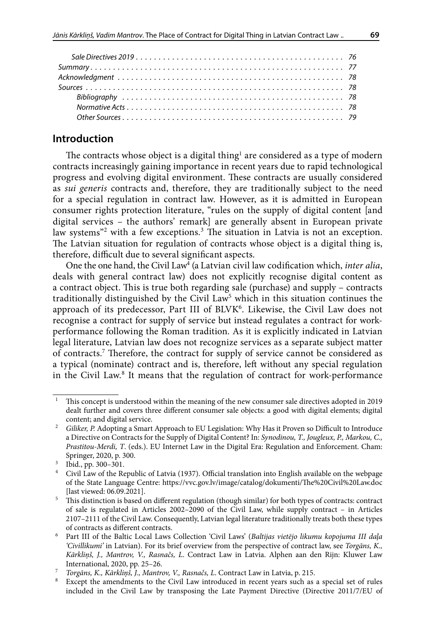# **Introduction**

The contracts whose object is a digital thing $^{\rm l}$  are considered as a type of modern contracts increasingly gaining importance in recent years due to rapid technological progress and evolving digital environment. These contracts are usually considered as *sui generis* contracts and, therefore, they are traditionally subject to the need for a special regulation in contract law. However, as it is admitted in European consumer rights protection literature, "rules on the supply of digital content [and digital services – the authors' remark] are generally absent in European private law systems"<sup>2</sup> with a few exceptions.<sup>3</sup> The situation in Latvia is not an exception. The Latvian situation for regulation of contracts whose object is a digital thing is, therefore, difficult due to several significant aspects.

One the one hand, the Civil Law<sup>4</sup> (a Latvian civil law codification which, *inter alia*, deals with general contract law) does not explicitly recognise digital content as a contract object. This is true both regarding sale (purchase) and supply – contracts traditionally distinguished by the Civil Law<sup>5</sup> which in this situation continues the approach of its predecessor, Part III of BLVK<sup>6</sup>. Likewise, the Civil Law does not recognise a contract for supply of service but instead regulates a contract for workperformance following the Roman tradition. As it is explicitly indicated in Latvian legal literature, Latvian law does not recognize services as a separate subject matter of contracts.7 Therefore, the contract for supply of service cannot be considered as a typical (nominate) contract and is, therefore, left without any special regulation in the Civil Law.8 It means that the regulation of contract for work-performance

<sup>1</sup> This concept is understood within the meaning of the new consumer sale directives adopted in 2019 dealt further and covers three different consumer sale objects: a good with digital elements; digital content; and digital service.

<sup>&</sup>lt;sup>2</sup> Giliker, P. Adopting a Smart Approach to EU Legislation: Why Has it Proven so Difficult to Introduce a Directive on Contracts for the Supply of Digital Content? In: *Synodinou, T., Jougleux, P., Markou, C., Prastitou-Merdi, T*. (eds.). EU Internet Law in the Digital Era: Regulation and Enforcement. Cham: Springer, 2020, p. 300.

 $3 \text{ Ibid., pp. } 300 - 301.$ 

<sup>4</sup> Civil Law of the Republic of Latvia (1937). Official translation into English available on the webpage of the State Language Centre: <https://vvc.gov.lv/image/catalog/dokumenti/The%20Civil%20Law.doc> [last viewed: 06.09.2021].

<sup>&</sup>lt;sup>5</sup> This distinction is based on different regulation (though similar) for both types of contracts: contract of sale is regulated in Articles 2002–2090 of the Civil Law, while supply contract – in Articles 2107–2111 of the Civil Law. Consequently, Latvian legal literature traditionally treats both these types of contracts as different contracts.

<sup>6</sup> Part III of the Baltic Local Laws Collection 'Civil Laws' (*Baltijas vietējo likumu kopojuma III daļa 'Civillikumi'* in Latvian). For its brief overview from the perspective of contract law, see *Torgāns, K., Kārkliņš, J., Mantrov, V., Rasnačs, L*. Contract Law in Latvia. Alphen aan den Rijn: Kluwer Law International, 2020, pp. 25–26.

<sup>7</sup> *Torgāns, K., Kārkliņš, J., Mantrov, V., Rasnačs, L*. Contract Law in Latvia, p. 215.

Except the amendments to the Civil Law introduced in recent years such as a special set of rules included in the Civil Law by transposing the Late Payment Directive (Directive 2011/7/EU of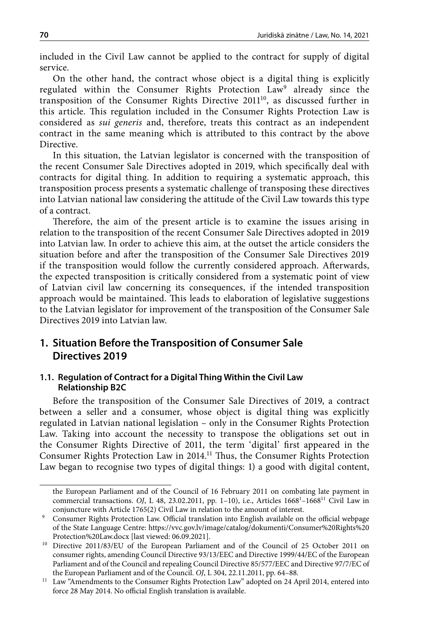included in the Civil Law cannot be applied to the contract for supply of digital service.

On the other hand, the contract whose object is a digital thing is explicitly regulated within the Consumer Rights Protection Law<sup>9</sup> already since the transposition of the Consumer Rights Directive 2011<sup>10</sup>, as discussed further in this article. This regulation included in the Consumer Rights Protection Law is considered as *sui generis* and, therefore, treats this contract as an independent contract in the same meaning which is attributed to this contract by the above Directive.

In this situation, the Latvian legislator is concerned with the transposition of the recent Consumer Sale Directives adopted in 2019, which specifically deal with contracts for digital thing. In addition to requiring a systematic approach, this transposition process presents a systematic challenge of transposing these directives into Latvian national law considering the attitude of the Civil Law towards this type of a contract.

Therefore, the aim of the present article is to examine the issues arising in relation to the transposition of the recent Consumer Sale Directives adopted in 2019 into Latvian law. In order to achieve this aim, at the outset the article considers the situation before and after the transposition of the Consumer Sale Directives 2019 if the transposition would follow the currently considered approach. Afterwards, the expected transposition is critically considered from a systematic point of view of Latvian civil law concerning its consequences, if the intended transposition approach would be maintained. This leads to elaboration of legislative suggestions to the Latvian legislator for improvement of the transposition of the Consumer Sale Directives 2019 into Latvian law.

# **1. Situation Before the Transposition of Consumer Sale Directives 2019**

#### **1.1. Regulation of Contract for a Digital Thing Within the Civil Law Relationship B2C**

Before the transposition of the Consumer Sale Directives of 2019, a contract between a seller and a consumer, whose object is digital thing was explicitly regulated in Latvian national legislation – only in the Consumer Rights Protection Law. Taking into account the necessity to transpose the obligations set out in the Consumer Rights Directive of 2011, the term 'digital' first appeared in the Consumer Rights Protection Law in 2014.11 Thus, the Consumer Rights Protection Law began to recognise two types of digital things: 1) a good with digital content,

the European Parliament and of the Council of 16 February 2011 on combating late payment in commercial transactions. OJ, L 48, 23.02.2011, pp. 1-10), i.e., Articles 1668<sup>1</sup>-1668<sup>11</sup> Civil Law in conjuncture with Article 1765(2) Civil Law in relation to the amount of interest.

<sup>9</sup> Consumer Rights Protection Law. Official translation into English available on the official webpage of the State Language Centre: [https://vvc.gov.lv/image/catalog/dokumenti/Consumer%20Rights%20](https://vvc.gov.lv/image/catalog/dokumenti/Consumer%20Rights%20Protection%20Law.docx) [Protection%20Law.docx](https://vvc.gov.lv/image/catalog/dokumenti/Consumer%20Rights%20Protection%20Law.docx) [last viewed: 06.09.2021].

<sup>10</sup> Directive 2011/83/EU of the European Parliament and of the Council of 25 October 2011 on consumer rights, amending Council Directive 93/13/EEC and Directive 1999/44/EC of the European Parliament and of the Council and repealing Council Directive 85/577/EEC and Directive 97/7/EC of the European Parliament and of the Council. *OJ*, L 304, 22.11.2011, pp. 64–88*.*

<sup>&</sup>lt;sup>11</sup> Law "Amendments to the Consumer Rights Protection Law" adopted on 24 April 2014, entered into force 28 May 2014. No official English translation is available.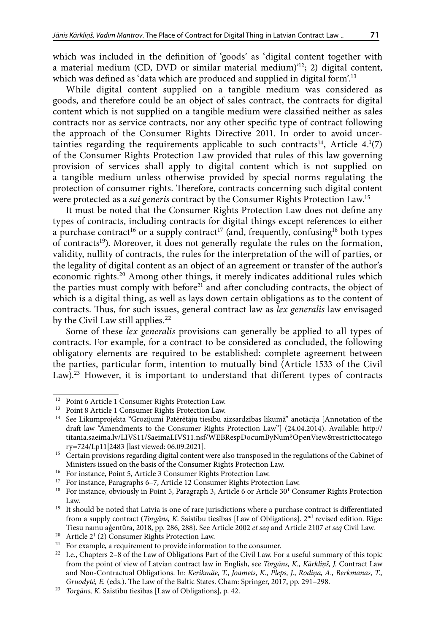which was included in the definition of 'goods' as 'digital content together with a material medium (CD, DVD or similar material medium)'12; 2) digital content, which was defined as 'data which are produced and supplied in digital form'.<sup>13</sup>

While digital content supplied on a tangible medium was considered as goods, and therefore could be an object of sales contract, the contracts for digital content which is not supplied on a tangible medium were classified neither as sales contracts nor as service contracts, nor any other specific type of contract following the approach of the Consumer Rights Directive 2011. In order to avoid uncertainties regarding the requirements applicable to such contracts $^{14}$ , Article  $4.1(7)$ of the Consumer Rights Protection Law provided that rules of this law governing provision of services shall apply to digital content which is not supplied on a tangible medium unless otherwise provided by special norms regulating the protection of consumer rights. Therefore, contracts concerning such digital content were protected as a *sui generis* contract by the Consumer Rights Protection Law.15

It must be noted that the Consumer Rights Protection Law does not define any types of contracts, including contracts for digital things except references to either a purchase contract<sup>16</sup> or a supply contract<sup>17</sup> (and, frequently, confusing<sup>18</sup> both types of contracts<sup>19</sup>). Moreover, it does not generally regulate the rules on the formation, validity, nullity of contracts, the rules for the interpretation of the will of parties, or the legality of digital content as an object of an agreement or transfer of the author's economic rights.<sup>20</sup> Among other things, it merely indicates additional rules which the parties must comply with before<sup>21</sup> and after concluding contracts, the object of which is a digital thing, as well as lays down certain obligations as to the content of contracts. Thus, for such issues, general contract law as *lex generalis* law envisaged by the Civil Law still applies.<sup>22</sup>

Some of these *lex generalis* provisions can generally be applied to all types of contracts. For example, for a contract to be considered as concluded, the following obligatory elements are required to be established: complete agreement between the parties, particular form, intention to mutually bind (Article 1533 of the Civil Law).<sup>23</sup> However, it is important to understand that different types of contracts

<sup>&</sup>lt;sup>12</sup> Point 6 Article 1 Consumer Rights Protection Law.

<sup>&</sup>lt;sup>13</sup> Point 8 Article 1 Consumer Rights Protection Law.<br><sup>14</sup> See Likumprojekta "Grozījumi Patērētāju tiesību a

<sup>14</sup> See Likumprojekta "Grozījumi Patērētāju tiesību aizsardzības likumā" anotācija [Annotation of the draft law "Amendments to the Consumer Rights Protection Law"] (24.04.2014). Available: [http://](http://titania.saeima.lv/LIVS11/SaeimaLIVS11.nsf/WEBRespDocumByNum?OpenView&restricttocategory=724/Lp11|2483) [titania.saeima.lv/LIVS11/SaeimaLIVS11.nsf/WEBRespDocumByNum?OpenView&restricttocatego](http://titania.saeima.lv/LIVS11/SaeimaLIVS11.nsf/WEBRespDocumByNum?OpenView&restricttocategory=724/Lp11|2483) [ry=724/Lp11|2483](http://titania.saeima.lv/LIVS11/SaeimaLIVS11.nsf/WEBRespDocumByNum?OpenView&restricttocategory=724/Lp11|2483) [last viewed: 06.09.2021].

<sup>&</sup>lt;sup>15</sup> Certain provisions regarding digital content were also transposed in the regulations of the Cabinet of Ministers issued on the basis of the Consumer Rights Protection Law.

<sup>16</sup> For instance, Point 5, Article 3 Consumer Rights Protection Law.

<sup>&</sup>lt;sup>17</sup> For instance, Paragraphs 6–7, Article 12 Consumer Rights Protection Law.

<sup>&</sup>lt;sup>18</sup> For instance, obviously in Point 5, Paragraph 3, Article 6 or Article 30<sup>1</sup> Consumer Rights Protection Law.

<sup>&</sup>lt;sup>19</sup> It should be noted that Latvia is one of rare jurisdictions where a purchase contract is differentiated from a supply contract (*Torgāns, K*. Saistību tiesības [Law of Obligations]. 2nd revised edition. Rīga: Tiesu namu aģentūra, 2018, pp. 286, 288). See Article 2002 *et seq* and Article 2107 *et seq* Civil Law.

 $20$  Article  $2^{1}$  (2) Consumer Rights Protection Law.

<sup>&</sup>lt;sup>21</sup> For example, a requirement to provide information to the consumer.<br><sup>22</sup> I e Chapters 2–8 of the Law of Obligations Part of the Civil Law For

<sup>22</sup> I.e., Chapters 2–8 of the Law of Obligations Part of the Civil Law. For a useful summary of this topic from the point of view of Latvian contract law in English, see *Torgāns, K., Kārkliņš, J.* Contract Law and Non-Contractual Obligations. In: *Kerikmäe, T., Joamets, K., Pleps, J., Rodiņa, A., Berkmanas, T., Gruodytė, E.* (eds.). The Law of the Baltic States. Cham: Springer, 2017, pp. 291–298.

<sup>23</sup> *Torgāns, K.* Saistību tiesības [Law of Obligations], p. 42.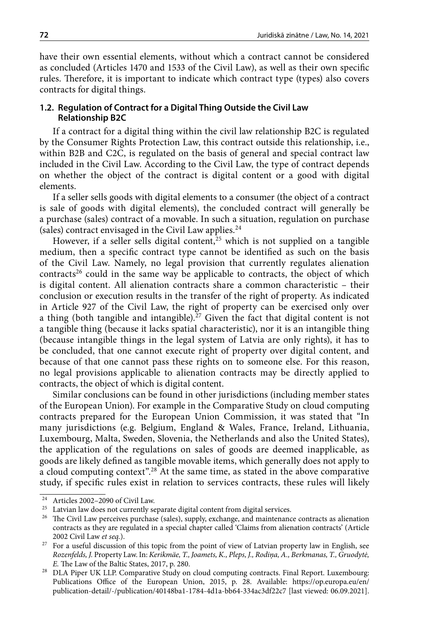have their own essential elements, without which a contract cannot be considered as concluded (Articles 1470 and 1533 of the Civil Law), as well as their own specific rules. Therefore, it is important to indicate which contract type (types) also covers contracts for digital things.

#### **1.2. Regulation of Contract for a Digital Thing Outside the Civil Law Relationship B2C**

If a contract for a digital thing within the civil law relationship B2C is regulated by the Consumer Rights Protection Law, this contract outside this relationship, i.e., within B2B and C2C, is regulated on the basis of general and special contract law included in the Civil Law. According to the Civil Law, the type of contract depends on whether the object of the contract is digital content or a good with digital elements.

If a seller sells goods with digital elements to a consumer (the object of a contract is sale of goods with digital elements), the concluded contract will generally be a purchase (sales) contract of a movable. In such a situation, regulation on purchase (sales) contract envisaged in the Civil Law applies. $24$ 

However, if a seller sells digital content,<sup>25</sup> which is not supplied on a tangible medium, then a specific contract type cannot be identified as such on the basis of the Civil Law. Namely, no legal provision that currently regulates alienation contracts<sup>26</sup> could in the same way be applicable to contracts, the object of which is digital content. All alienation contracts share a common characteristic – their conclusion or execution results in the transfer of the right of property. As indicated in Article 927 of the Civil Law, the right of property can be exercised only over a thing (both tangible and intangible).<sup>27</sup> Given the fact that digital content is not a tangible thing (because it lacks spatial characteristic), nor it is an intangible thing (because intangible things in the legal system of Latvia are only rights), it has to be concluded, that one cannot execute right of property over digital content, and because of that one cannot pass these rights on to someone else. For this reason, no legal provisions applicable to alienation contracts may be directly applied to contracts, the object of which is digital content.

Similar conclusions can be found in other jurisdictions (including member states of the European Union). For example in the Comparative Study on cloud computing contracts prepared for the European Union Commission, it was stated that "In many jurisdictions (e.g. Belgium, England & Wales, France, Ireland, Lithuania, Luxembourg, Malta, Sweden, Slovenia, the Netherlands and also the United States), the application of the regulations on sales of goods are deemed inapplicable, as goods are likely defined as tangible movable items, which generally does not apply to a cloud computing context".28 At the same time, as stated in the above comparative study, if specific rules exist in relation to services contracts, these rules will likely

<sup>24</sup> Articles 2002–2090 of Civil Law.

 $^{25}\,$  Latvian law does not currently separate digital content from digital services.

<sup>&</sup>lt;sup>26</sup> The Civil Law perceives purchase (sales), supply, exchange, and maintenance contracts as alienation contracts as they are regulated in a special chapter called 'Claims from alienation contracts' (Article 2002 Civil Law *et seq.*). 27 For a useful discussion of this topic from the point of view of Latvian property law in English, see

*Rozenfelds, J.* Property Law. In: *Kerikmäe, T., Joamets, K., Pleps, J., Rodiņa, A., Berkmanas, T., Gruodytė, E.* The Law of the Baltic States, 2017, p. 280.

<sup>&</sup>lt;sup>28</sup> DLA Piper UK LLP. Comparative Study on cloud computing contracts. Final Report. Luxembourg: Publications Office of the European Union, 2015, p. 28. Available: [https://op.europa.eu/en/](https://op.europa.eu/en/publication-detail/-/publication/40148ba1-1784-4d1a-bb64-334ac3df22c7) [publication-detail/-/publication/40148ba1-1784-4d1a-bb64-334ac3df22c7](https://op.europa.eu/en/publication-detail/-/publication/40148ba1-1784-4d1a-bb64-334ac3df22c7) [last viewed: 06.09.2021].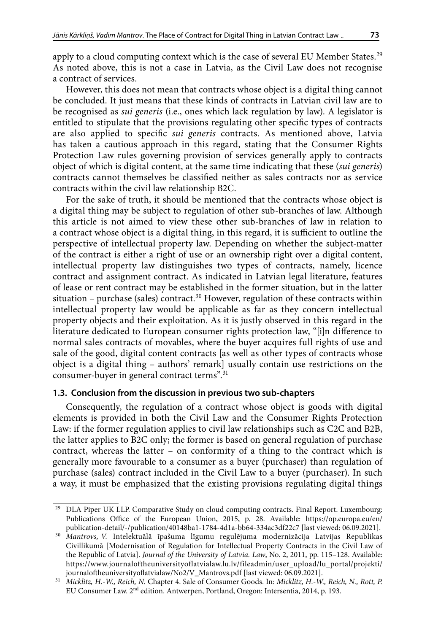apply to a cloud computing context which is the case of several EU Member States.<sup>29</sup> As noted above, this is not a case in Latvia, as the Civil Law does not recognise a contract of services.

However, this does not mean that contracts whose object is a digital thing cannot be concluded. It just means that these kinds of contracts in Latvian civil law are to be recognised as *sui generis* (i.e., ones which lack regulation by law). A legislator is entitled to stipulate that the provisions regulating other specific types of contracts are also applied to specific *sui generis* contracts. As mentioned above, Latvia has taken a cautious approach in this regard, stating that the Consumer Rights Protection Law rules governing provision of services generally apply to contracts object of which is digital content, at the same time indicating that these (*sui generis*) contracts cannot themselves be classified neither as sales contracts nor as service contracts within the civil law relationship B2C.

For the sake of truth, it should be mentioned that the contracts whose object is a digital thing may be subject to regulation of other sub-branches of law. Although this article is not aimed to view these other sub-branches of law in relation to a contract whose object is a digital thing, in this regard, it is sufficient to outline the perspective of intellectual property law. Depending on whether the subject-matter of the contract is either a right of use or an ownership right over a digital content, intellectual property law distinguishes two types of contracts, namely, licence contract and assignment contract. As indicated in Latvian legal literature, features of lease or rent contract may be established in the former situation, but in the latter situation – purchase (sales) contract.<sup>30</sup> However, regulation of these contracts within intellectual property law would be applicable as far as they concern intellectual property objects and their exploitation. As it is justly observed in this regard in the literature dedicated to European consumer rights protection law, "[i]n difference to normal sales contracts of movables, where the buyer acquires full rights of use and sale of the good, digital content contracts [as well as other types of contracts whose object is a digital thing – authors' remark] usually contain use restrictions on the consumer-buyer in general contract terms".31

### **1.3. Conclusion from the discussion in previous two sub-chapters**

Consequently, the regulation of a contract whose object is goods with digital elements is provided in both the Civil Law and the Consumer Rights Protection Law: if the former regulation applies to civil law relationships such as C2C and B2B, the latter applies to B2C only; the former is based on general regulation of purchase contract, whereas the latter – on conformity of a thing to the contract which is generally more favourable to a consumer as a buyer (purchaser) than regulation of purchase (sales) contract included in the Civil Law to a buyer (purchaser). In such a way, it must be emphasized that the existing provisions regulating digital things

<sup>29</sup> DLA Piper UK LLP. Comparative Study on cloud computing contracts. Final Report. Luxembourg: Publications Office of the European Union, 2015, p. 28. Available: [https://op.europa.eu/en/](https://op.europa.eu/en/publication-detail/-/publication/40148ba1-1784-4d1a-bb64-334ac3df22c7) [publication-detail/-/publication/40148ba1-1784-4d1a-bb64-334ac3df22c7](https://op.europa.eu/en/publication-detail/-/publication/40148ba1-1784-4d1a-bb64-334ac3df22c7) [last viewed: 06.09.2021].

<sup>30</sup> *Mantrovs, V.* Intelektuālā īpašuma līgumu regulējuma modernizācija Latvijas Republikas Civillikumā [Modernisation of Regulation for Intellectual Property Contracts in the Civil Law of the Republic of Latvia]. *Journal of the University of Latvia. Law*, No. 2, 2011, pp. 115–128. Available: [https://www.journaloftheuniversityoflatvialaw.lu.lv/fileadmin/user\\_upload/lu\\_portal/projekti/](https://www.journaloftheuniversityoflatvialaw.lu.lv/fileadmin/user_upload/lu_portal/projekti/journaloftheuniversityoflatvialaw/No2/V_Mantrovs.pdf) [journaloftheuniversityoflatvialaw/No2/V\\_Mantrovs.pdf](https://www.journaloftheuniversityoflatvialaw.lu.lv/fileadmin/user_upload/lu_portal/projekti/journaloftheuniversityoflatvialaw/No2/V_Mantrovs.pdf) [last viewed: 06.09.2021].

<sup>31</sup> *Micklitz, H.-W., Reich, N.* Chapter 4. Sale of Consumer Goods. In: *Micklitz, H.-W., Reich, N., Rott, P.* EU Consumer Law. 2nd edition. Antwerpen, Portland, Oregon: Intersentia, 2014, p. 193.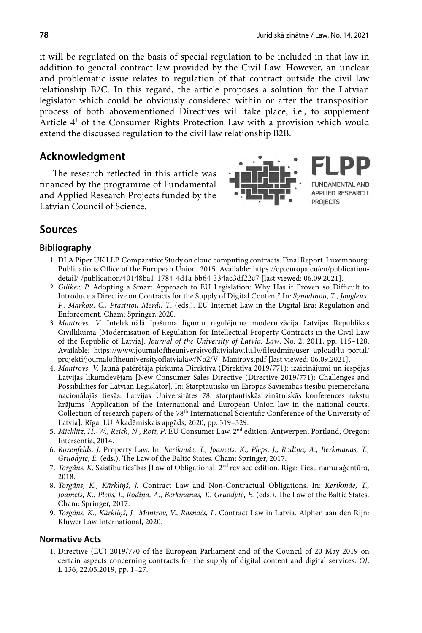it will be regulated on the basis of special regulation to be included in that law in addition to general contract law provided by the Civil Law. However, an unclear and problematic issue relates to regulation of that contract outside the civil law relationship B2C. In this regard, the article proposes a solution for the Latvian legislator which could be obviously considered within or after the transposition process of both abovementioned Directives will take place, i.e., to supplement Article 41 of the Consumer Rights Protection Law with a provision which would extend the discussed regulation to the civil law relationship B2B.

## **Acknowledgment**

The research reflected in this article was financed by the programme of Fundamental and Applied Research Projects funded by the Latvian Council of Science.



### **Sources**

#### **Bibliography**

- 1. DLA Piper UK LLP. Comparative Study on cloud computing contracts. Final Report. Luxembourg: Publications Office of the European Union, 2015. Available: [https://op.europa.eu/en/publication](https://op.europa.eu/en/publication-detail/-/publication/40148ba1-1784-4d1a-bb64-334ac3df22c7)[detail/-/publication/40148ba1-1784-4d1a-bb64-334ac3df22c7](https://op.europa.eu/en/publication-detail/-/publication/40148ba1-1784-4d1a-bb64-334ac3df22c7) [last viewed: 06.09.2021].
- 2. *Giliker, P.* Adopting a Smart Approach to EU Legislation: Why Has it Proven so Difficult to Introduce a Directive on Contracts for the Supply of Digital Content? In: *Synodinou, T., Jougleux, P., Markou, C., Prastitou-Merdi, T*. (eds.). EU Internet Law in the Digital Era: Regulation and Enforcement. Cham: Springer, 2020.
- 3. *Mantrovs, V.* Intelektuālā īpašuma līgumu regulējuma modernizācija Latvijas Republikas Civillikumā [Modernisation of Regulation for Intellectual Property Contracts in the Civil Law of the Republic of Latvia]. *Journal of the University of Latvia. Law*, No. 2, 2011, pp. 115–128. Available: [https://www.journaloftheuniversityoflatvialaw.lu.lv/fileadmin/user\\_upload/lu\\_portal/](https://www.journaloftheuniversityoflatvialaw.lu.lv/fileadmin/user_upload/lu_portal/projekti/journaloftheuniversityoflatvialaw/No2/V_Mantrovs.pdf) [projekti/journaloftheuniversityoflatvialaw/No2/V\\_Mantrovs.pdf](https://www.journaloftheuniversityoflatvialaw.lu.lv/fileadmin/user_upload/lu_portal/projekti/journaloftheuniversityoflatvialaw/No2/V_Mantrovs.pdf) [last viewed: 06.09.2021].
- 4. *Mantrovs, V.* Jaunā patērētāja pirkuma Direktīva (Direktīva 2019/771): izaicinājumi un iespējas Latvijas likumdevējam [New Consumer Sales Directive (Directive 2019/771): Challenges and Possibilities for Latvian Legislator]. In: Starptautisko un Eiropas Savienības tiesību piemērošana nacionālajās tiesās: Latvijas Universitātes 78. starptautiskās zinātniskās konferences rakstu krājums [[Application of the International and European Union law in the national courts.](https://www.apgads.lu.lv/fileadmin/user_upload/lu_portal/apgads/PDF/Juridiskas-konferences/JUZK-78-2020/juzk.78-Book.pdf)  Collection of research papers of the 78th International Scientific Conference of the University of Latvia]. Rīga: LU Akadēmiskais apgāds, 2020, pp. 319–329.
- 5. *Micklitz, H.-W., Reich, N., Rott, P*. EU Consumer Law. 2nd edition. Antwerpen, Portland, Oregon: Intersentia, 2014.
- 6. *Rozenfelds, J.* Property Law. In: *Kerikmäe, T., Joamets, K., Pleps, J., Rodiņa, A., Berkmanas, T., Gruodytė, E.* (eds.). The Law of the Baltic States. Cham: Springer, 2017.
- 7. *Torgāns, K.* Saistību tiesības [Law of Obligations]. 2nd revised edition. Rīga: Tiesu namu aģentūra, 2018.
- 8. *Torgāns, K., Kārkliņš, J.* Contract Law and Non-Contractual Obligations. In: *Kerikmäe, T., Joamets, K., Pleps, J., Rodiņa, A., Berkmanas, T., Gruodytė, E.* (eds.). The Law of the Baltic States. Cham: Springer, 2017.
- 9. *Torgāns, K., Kārkliņš, J., Mantrov, V., Rasnačs, L*. Contract Law in Latvia. Alphen aan den Rijn: Kluwer Law International, 2020.

#### **Normative Acts**

1. Directive (EU) 2019/770 of the European Parliament and of the Council of 20 May 2019 on certain aspects concerning contracts for the supply of digital content and digital services. *OJ*, L 136, 22.05.2019, pp. 1–27.